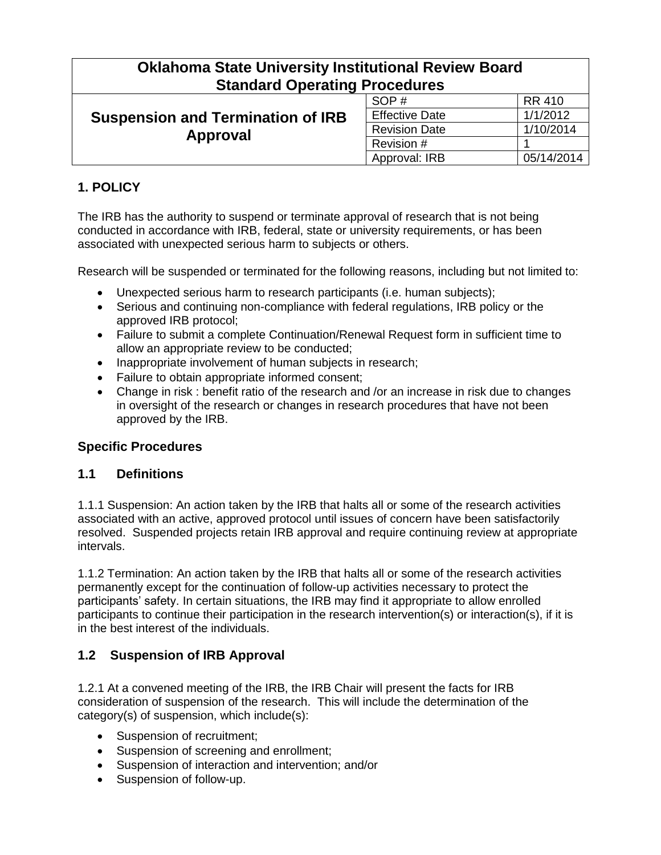| <b>Oklahoma State University Institutional Review Board</b><br><b>Standard Operating Procedures</b> |                       |               |
|-----------------------------------------------------------------------------------------------------|-----------------------|---------------|
| <b>Suspension and Termination of IRB</b><br>Approval                                                | SOP#                  | <b>RR 410</b> |
|                                                                                                     | <b>Effective Date</b> | 1/1/2012      |
|                                                                                                     | <b>Revision Date</b>  | 1/10/2014     |
|                                                                                                     | Revision #            |               |
|                                                                                                     | Approval: IRB         | 05/14/2014    |

# **1. POLICY**

The IRB has the authority to suspend or terminate approval of research that is not being conducted in accordance with IRB, federal, state or university requirements, or has been associated with unexpected serious harm to subjects or others.

Research will be suspended or terminated for the following reasons, including but not limited to:

- Unexpected serious harm to research participants (i.e. human subjects);
- Serious and continuing non-compliance with federal regulations, IRB policy or the approved IRB protocol;
- Failure to submit a complete Continuation/Renewal Request form in sufficient time to allow an appropriate review to be conducted;
- Inappropriate involvement of human subjects in research;
- Failure to obtain appropriate informed consent;
- Change in risk : benefit ratio of the research and /or an increase in risk due to changes in oversight of the research or changes in research procedures that have not been approved by the IRB.

### **Specific Procedures**

#### **1.1 Definitions**

1.1.1 Suspension: An action taken by the IRB that halts all or some of the research activities associated with an active, approved protocol until issues of concern have been satisfactorily resolved. Suspended projects retain IRB approval and require continuing review at appropriate intervals.

1.1.2 Termination: An action taken by the IRB that halts all or some of the research activities permanently except for the continuation of follow-up activities necessary to protect the participants' safety. In certain situations, the IRB may find it appropriate to allow enrolled participants to continue their participation in the research intervention(s) or interaction(s), if it is in the best interest of the individuals.

### **1.2 Suspension of IRB Approval**

1.2.1 At a convened meeting of the IRB, the IRB Chair will present the facts for IRB consideration of suspension of the research. This will include the determination of the category(s) of suspension, which include(s):

- Suspension of recruitment;
- Suspension of screening and enrollment;
- Suspension of interaction and intervention; and/or
- Suspension of follow-up.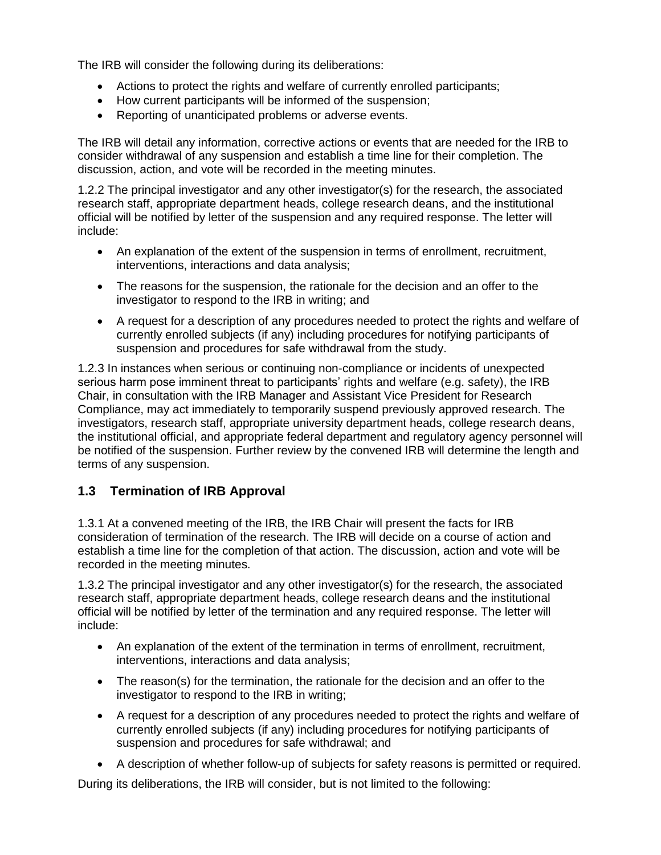The IRB will consider the following during its deliberations:

- Actions to protect the rights and welfare of currently enrolled participants;
- How current participants will be informed of the suspension;
- Reporting of unanticipated problems or adverse events.

The IRB will detail any information, corrective actions or events that are needed for the IRB to consider withdrawal of any suspension and establish a time line for their completion. The discussion, action, and vote will be recorded in the meeting minutes.

1.2.2 The principal investigator and any other investigator(s) for the research, the associated research staff, appropriate department heads, college research deans, and the institutional official will be notified by letter of the suspension and any required response. The letter will include:

- An explanation of the extent of the suspension in terms of enrollment, recruitment, interventions, interactions and data analysis;
- The reasons for the suspension, the rationale for the decision and an offer to the investigator to respond to the IRB in writing; and
- A request for a description of any procedures needed to protect the rights and welfare of currently enrolled subjects (if any) including procedures for notifying participants of suspension and procedures for safe withdrawal from the study.

1.2.3 In instances when serious or continuing non-compliance or incidents of unexpected serious harm pose imminent threat to participants' rights and welfare (e.g. safety), the IRB Chair, in consultation with the IRB Manager and Assistant Vice President for Research Compliance, may act immediately to temporarily suspend previously approved research. The investigators, research staff, appropriate university department heads, college research deans, the institutional official, and appropriate federal department and regulatory agency personnel will be notified of the suspension. Further review by the convened IRB will determine the length and terms of any suspension.

### **1.3 Termination of IRB Approval**

1.3.1 At a convened meeting of the IRB, the IRB Chair will present the facts for IRB consideration of termination of the research. The IRB will decide on a course of action and establish a time line for the completion of that action. The discussion, action and vote will be recorded in the meeting minutes.

1.3.2 The principal investigator and any other investigator(s) for the research, the associated research staff, appropriate department heads, college research deans and the institutional official will be notified by letter of the termination and any required response. The letter will include:

- An explanation of the extent of the termination in terms of enrollment, recruitment, interventions, interactions and data analysis;
- The reason(s) for the termination, the rationale for the decision and an offer to the investigator to respond to the IRB in writing;
- A request for a description of any procedures needed to protect the rights and welfare of currently enrolled subjects (if any) including procedures for notifying participants of suspension and procedures for safe withdrawal; and
- A description of whether follow-up of subjects for safety reasons is permitted or required.

During its deliberations, the IRB will consider, but is not limited to the following: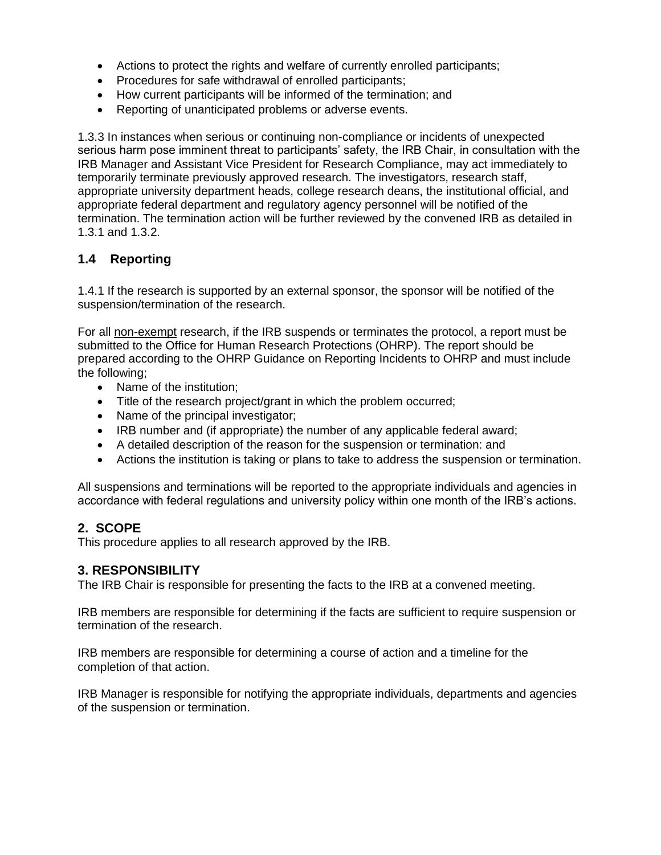- Actions to protect the rights and welfare of currently enrolled participants;
- Procedures for safe withdrawal of enrolled participants;
- How current participants will be informed of the termination; and
- Reporting of unanticipated problems or adverse events.

1.3.3 In instances when serious or continuing non-compliance or incidents of unexpected serious harm pose imminent threat to participants' safety, the IRB Chair, in consultation with the IRB Manager and Assistant Vice President for Research Compliance, may act immediately to temporarily terminate previously approved research. The investigators, research staff, appropriate university department heads, college research deans, the institutional official, and appropriate federal department and regulatory agency personnel will be notified of the termination. The termination action will be further reviewed by the convened IRB as detailed in 1.3.1 and 1.3.2.

### **1.4 Reporting**

1.4.1 If the research is supported by an external sponsor, the sponsor will be notified of the suspension/termination of the research.

For all non-exempt research, if the IRB suspends or terminates the protocol, a report must be submitted to the Office for Human Research Protections (OHRP). The report should be prepared according to the OHRP Guidance on Reporting Incidents to OHRP and must include the following;

- Name of the institution:
- Title of the research project/grant in which the problem occurred;
- Name of the principal investigator;
- IRB number and (if appropriate) the number of any applicable federal award;
- A detailed description of the reason for the suspension or termination: and
- Actions the institution is taking or plans to take to address the suspension or termination.

All suspensions and terminations will be reported to the appropriate individuals and agencies in accordance with federal regulations and university policy within one month of the IRB's actions.

## **2. SCOPE**

This procedure applies to all research approved by the IRB.

#### **3. RESPONSIBILITY**

The IRB Chair is responsible for presenting the facts to the IRB at a convened meeting.

IRB members are responsible for determining if the facts are sufficient to require suspension or termination of the research.

IRB members are responsible for determining a course of action and a timeline for the completion of that action.

IRB Manager is responsible for notifying the appropriate individuals, departments and agencies of the suspension or termination.